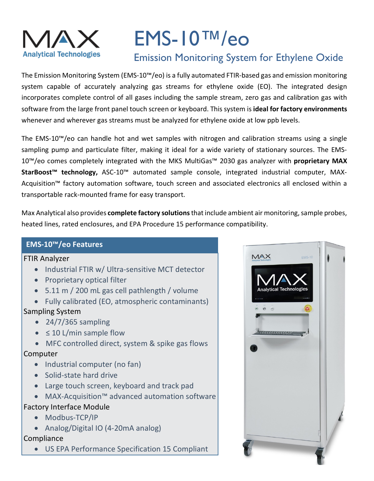

# EMS-10™/eo Emission Monitoring System for Ethylene Oxide

The Emission Monitoring System (EMS-10™/eo) is a fully automated FTIR-based gas and emission monitoring system capable of accurately analyzing gas streams for ethylene oxide (EO). The integrated design incorporates complete control of all gases including the sample stream, zero gas and calibration gas with software from the large front panel touch screen or keyboard. This system is **ideal for factory environments** whenever and wherever gas streams must be analyzed for ethylene oxide at low ppb levels.

The EMS-10™/eo can handle hot and wet samples with nitrogen and calibration streams using a single sampling pump and particulate filter, making it ideal for a wide variety of stationary sources. The EMS-10™/eo comes completely integrated with the MKS MultiGas™ 2030 gas analyzer with **proprietary MAX StarBoost™ technology,** ASC-10™ automated sample console, integrated industrial computer, MAX-Acquisition™ factory automation software, touch screen and associated electronics all enclosed within a transportable rack-mounted frame for easy transport.

Max Analytical also provides **complete factory solutions**that include ambient air monitoring, sample probes, heated lines, rated enclosures, and EPA Procedure 15 performance compatibility.

# **EMS-10™/eo Features**

#### FTIR Analyzer

- Industrial FTIR w/ Ultra-sensitive MCT detector
- Proprietary optical filter
- 5.11 m / 200 mL gas cell pathlength / volume
- Fully calibrated (EO, atmospheric contaminants)

# Sampling System

- $\bullet$  24/7/365 sampling
- $\bullet$   $\leq$  10 L/min sample flow
- MFC controlled direct, system & spike gas flows

# Computer

- Industrial computer (no fan)
- Solid-state hard drive
- Large touch screen, keyboard and track pad
- MAX-Acquisition™ advanced automation software

# Factory Interface Module

- Modbus-TCP/IP
- Analog/Digital IO (4-20mA analog)

# Compliance

• US EPA Performance Specification 15 Compliant